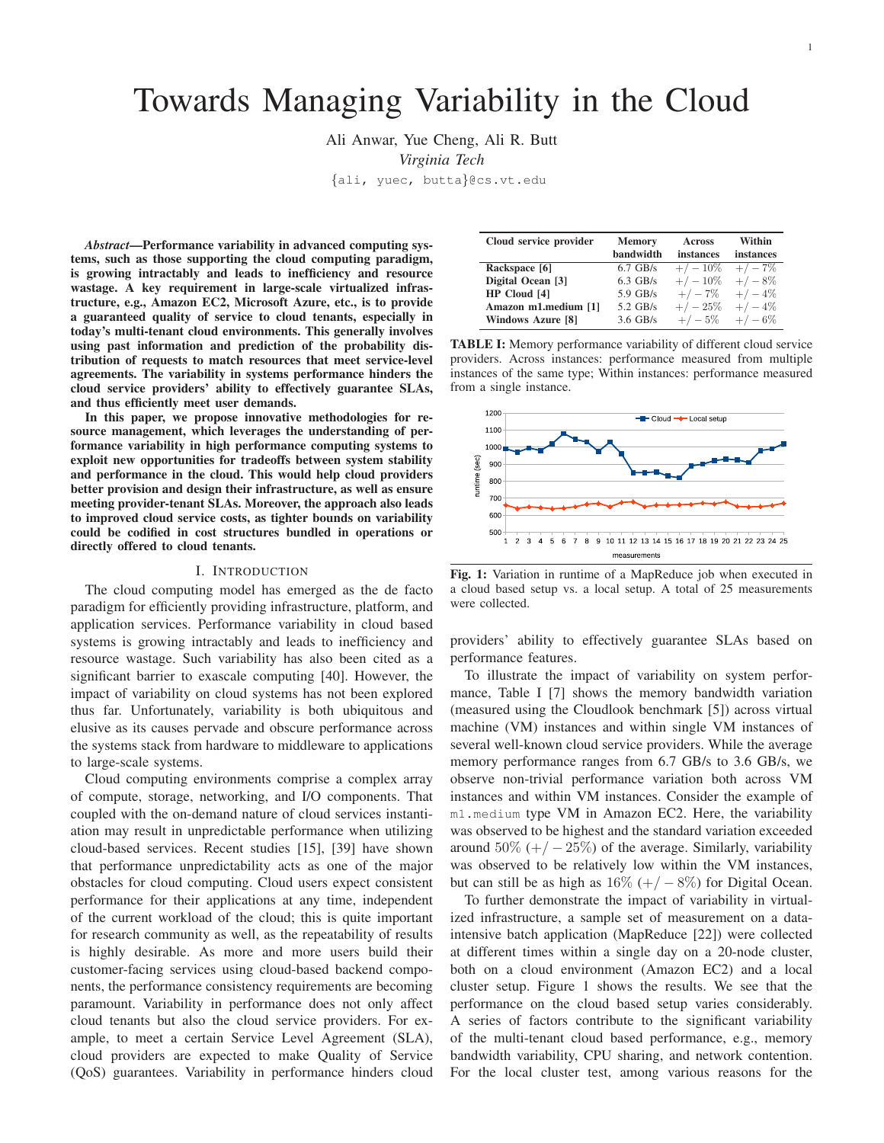# Towards Managing Variability in the Cloud

Ali Anwar, Yue Cheng, Ali R. Butt

*Virginia Tech*

{ali, yuec, butta}@cs.vt.edu

*Abstract*—Performance variability in advanced computing systems, such as those supporting the cloud computing paradigm, is growing intractably and leads to inefficiency and resource wastage. A key requirement in large-scale virtualized infrastructure, e.g., Amazon EC2, Microsoft Azure, etc., is to provide a guaranteed quality of service to cloud tenants, especially in today's multi-tenant cloud environments. This generally involves using past information and prediction of the probability distribution of requests to match resources that meet service-level agreements. The variability in systems performance hinders the cloud service providers' ability to effectively guarantee SLAs, and thus efficiently meet user demands.

In this paper, we propose innovative methodologies for resource management, which leverages the understanding of performance variability in high performance computing systems to exploit new opportunities for tradeoffs between system stability and performance in the cloud. This would help cloud providers better provision and design their infrastructure, as well as ensure meeting provider-tenant SLAs. Moreover, the approach also leads to improved cloud service costs, as tighter bounds on variability could be codified in cost structures bundled in operations or directly offered to cloud tenants.

### I. INTRODUCTION

The cloud computing model has emerged as the de facto paradigm for efficiently providing infrastructure, platform, and application services. Performance variability in cloud based systems is growing intractably and leads to inefficiency and resource wastage. Such variability has also been cited as a significant barrier to exascale computing [40]. However, the impact of variability on cloud systems has not been explored thus far. Unfortunately, variability is both ubiquitous and elusive as its causes pervade and obscure performance across the systems stack from hardware to middleware to applications to large-scale systems.

Cloud computing environments comprise a complex array of compute, storage, networking, and I/O components. That coupled with the on-demand nature of cloud services instantiation may result in unpredictable performance when utilizing cloud-based services. Recent studies [15], [39] have shown that performance unpredictability acts as one of the major obstacles for cloud computing. Cloud users expect consistent performance for their applications at any time, independent of the current workload of the cloud; this is quite important for research community as well, as the repeatability of results is highly desirable. As more and more users build their customer-facing services using cloud-based backend components, the performance consistency requirements are becoming paramount. Variability in performance does not only affect cloud tenants but also the cloud service providers. For example, to meet a certain Service Level Agreement (SLA), cloud providers are expected to make Quality of Service (QoS) guarantees. Variability in performance hinders cloud

| Cloud service provider | <b>Memory</b> | <b>Across</b> | Within    |
|------------------------|---------------|---------------|-----------|
|                        | bandwidth     | instances     | instances |
| Rackspace [6]          | $6.7$ GB/s    | $+/-10\%$     | $+/-7\%$  |
| Digital Ocean [3]      | $6.3$ GB/s    | $+/-10\%$     | $+/- 8\%$ |
| HP Cloud [4]           | $5.9$ GB/s    | $+/-7\%$      | $+/- 4\%$ |
| Amazon m1.medium [1]   | $5.2$ GB/s    | $+/- 25%$     | $+/- 4\%$ |
| Windows Azure [8]      | $3.6$ GB/s    | $+/- 5\%$     | $+/- 6\%$ |

TABLE I: Memory performance variability of different cloud service providers. Across instances: performance measured from multiple instances of the same type; Within instances: performance measured from a single instance.



Fig. 1: Variation in runtime of a MapReduce job when executed in a cloud based setup vs. a local setup. A total of 25 measurements were collected.

providers' ability to effectively guarantee SLAs based on performance features.

To illustrate the impact of variability on system performance, Table I [7] shows the memory bandwidth variation (measured using the Cloudlook benchmark [5]) across virtual machine (VM) instances and within single VM instances of several well-known cloud service providers. While the average memory performance ranges from 6.7 GB/s to 3.6 GB/s, we observe non-trivial performance variation both across VM instances and within VM instances. Consider the example of m1.medium type VM in Amazon EC2. Here, the variability was observed to be highest and the standard variation exceeded around  $50\% (+/- 25\%)$  of the average. Similarly, variability was observed to be relatively low within the VM instances, but can still be as high as  $16\% (+/- 8\%)$  for Digital Ocean.

To further demonstrate the impact of variability in virtualized infrastructure, a sample set of measurement on a dataintensive batch application (MapReduce [22]) were collected at different times within a single day on a 20-node cluster, both on a cloud environment (Amazon EC2) and a local cluster setup. Figure 1 shows the results. We see that the performance on the cloud based setup varies considerably. A series of factors contribute to the significant variability of the multi-tenant cloud based performance, e.g., memory bandwidth variability, CPU sharing, and network contention. For the local cluster test, among various reasons for the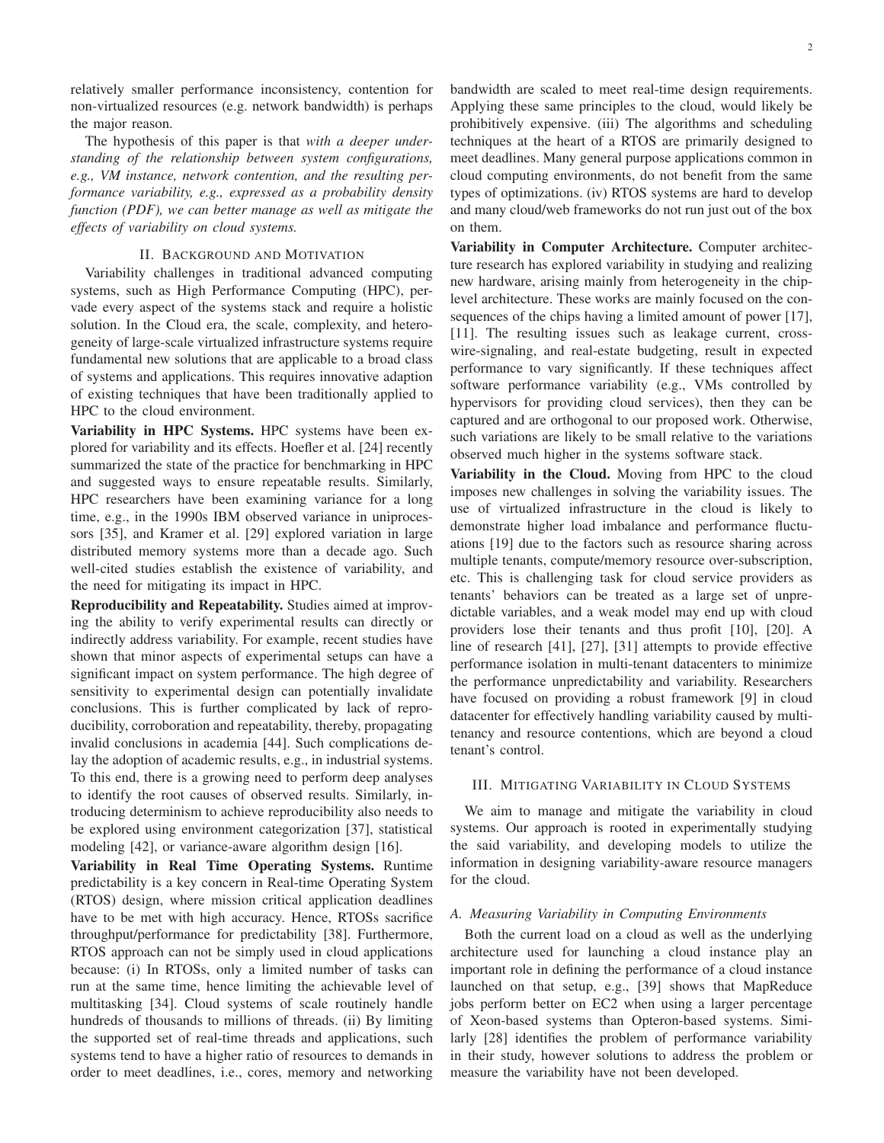relatively smaller performance inconsistency, contention for non-virtualized resources (e.g. network bandwidth) is perhaps the major reason.

The hypothesis of this paper is that *with a deeper understanding of the relationship between system configurations, e.g., VM instance, network contention, and the resulting performance variability, e.g., expressed as a probability density function (PDF), we can better manage as well as mitigate the effects of variability on cloud systems.*

## II. BACKGROUND AND MOTIVATION

Variability challenges in traditional advanced computing systems, such as High Performance Computing (HPC), pervade every aspect of the systems stack and require a holistic solution. In the Cloud era, the scale, complexity, and heterogeneity of large-scale virtualized infrastructure systems require fundamental new solutions that are applicable to a broad class of systems and applications. This requires innovative adaption of existing techniques that have been traditionally applied to HPC to the cloud environment.

Variability in HPC Systems. HPC systems have been explored for variability and its effects. Hoefler et al. [24] recently summarized the state of the practice for benchmarking in HPC and suggested ways to ensure repeatable results. Similarly, HPC researchers have been examining variance for a long time, e.g., in the 1990s IBM observed variance in uniprocessors [35], and Kramer et al. [29] explored variation in large distributed memory systems more than a decade ago. Such well-cited studies establish the existence of variability, and the need for mitigating its impact in HPC.

Reproducibility and Repeatability. Studies aimed at improving the ability to verify experimental results can directly or indirectly address variability. For example, recent studies have shown that minor aspects of experimental setups can have a significant impact on system performance. The high degree of sensitivity to experimental design can potentially invalidate conclusions. This is further complicated by lack of reproducibility, corroboration and repeatability, thereby, propagating invalid conclusions in academia [44]. Such complications delay the adoption of academic results, e.g., in industrial systems. To this end, there is a growing need to perform deep analyses to identify the root causes of observed results. Similarly, introducing determinism to achieve reproducibility also needs to be explored using environment categorization [37], statistical modeling [42], or variance-aware algorithm design [16].

Variability in Real Time Operating Systems. Runtime predictability is a key concern in Real-time Operating System (RTOS) design, where mission critical application deadlines have to be met with high accuracy. Hence, RTOSs sacrifice throughput/performance for predictability [38]. Furthermore, RTOS approach can not be simply used in cloud applications because: (i) In RTOSs, only a limited number of tasks can run at the same time, hence limiting the achievable level of multitasking [34]. Cloud systems of scale routinely handle hundreds of thousands to millions of threads. (ii) By limiting the supported set of real-time threads and applications, such systems tend to have a higher ratio of resources to demands in order to meet deadlines, i.e., cores, memory and networking

bandwidth are scaled to meet real-time design requirements. Applying these same principles to the cloud, would likely be prohibitively expensive. (iii) The algorithms and scheduling techniques at the heart of a RTOS are primarily designed to meet deadlines. Many general purpose applications common in cloud computing environments, do not benefit from the same types of optimizations. (iv) RTOS systems are hard to develop and many cloud/web frameworks do not run just out of the box on them.

Variability in Computer Architecture. Computer architecture research has explored variability in studying and realizing new hardware, arising mainly from heterogeneity in the chiplevel architecture. These works are mainly focused on the consequences of the chips having a limited amount of power [17], [11]. The resulting issues such as leakage current, crosswire-signaling, and real-estate budgeting, result in expected performance to vary significantly. If these techniques affect software performance variability (e.g., VMs controlled by hypervisors for providing cloud services), then they can be captured and are orthogonal to our proposed work. Otherwise, such variations are likely to be small relative to the variations observed much higher in the systems software stack.

Variability in the Cloud. Moving from HPC to the cloud imposes new challenges in solving the variability issues. The use of virtualized infrastructure in the cloud is likely to demonstrate higher load imbalance and performance fluctuations [19] due to the factors such as resource sharing across multiple tenants, compute/memory resource over-subscription, etc. This is challenging task for cloud service providers as tenants' behaviors can be treated as a large set of unpredictable variables, and a weak model may end up with cloud providers lose their tenants and thus profit [10], [20]. A line of research [41], [27], [31] attempts to provide effective performance isolation in multi-tenant datacenters to minimize the performance unpredictability and variability. Researchers have focused on providing a robust framework [9] in cloud datacenter for effectively handling variability caused by multitenancy and resource contentions, which are beyond a cloud tenant's control.

# III. MITIGATING VARIABILITY IN CLOUD SYSTEMS

We aim to manage and mitigate the variability in cloud systems. Our approach is rooted in experimentally studying the said variability, and developing models to utilize the information in designing variability-aware resource managers for the cloud.

## *A. Measuring Variability in Computing Environments*

Both the current load on a cloud as well as the underlying architecture used for launching a cloud instance play an important role in defining the performance of a cloud instance launched on that setup, e.g., [39] shows that MapReduce jobs perform better on EC2 when using a larger percentage of Xeon-based systems than Opteron-based systems. Similarly [28] identifies the problem of performance variability in their study, however solutions to address the problem or measure the variability have not been developed.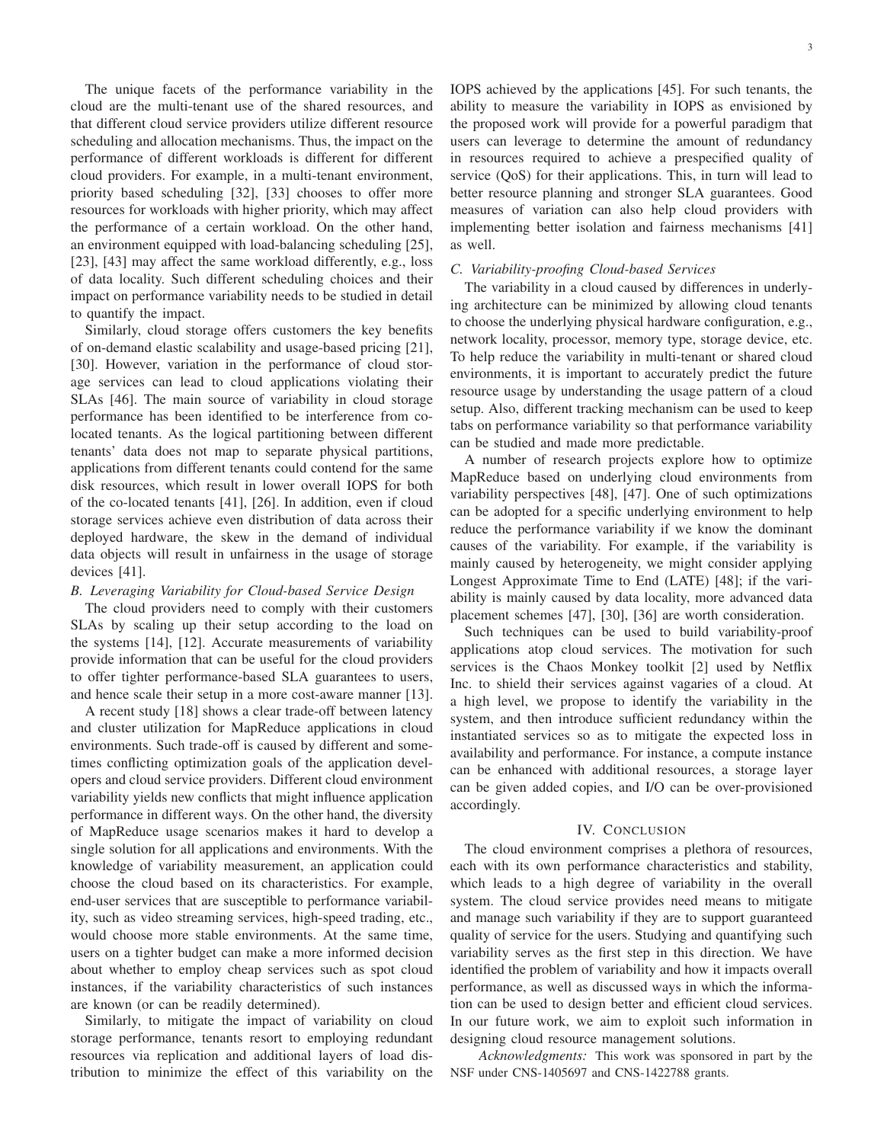The unique facets of the performance variability in the cloud are the multi-tenant use of the shared resources, and that different cloud service providers utilize different resource scheduling and allocation mechanisms. Thus, the impact on the performance of different workloads is different for different cloud providers. For example, in a multi-tenant environment, priority based scheduling [32], [33] chooses to offer more resources for workloads with higher priority, which may affect the performance of a certain workload. On the other hand, an environment equipped with load-balancing scheduling [25], [23], [43] may affect the same workload differently, e.g., loss of data locality. Such different scheduling choices and their impact on performance variability needs to be studied in detail to quantify the impact.

Similarly, cloud storage offers customers the key benefits of on-demand elastic scalability and usage-based pricing [21], [30]. However, variation in the performance of cloud storage services can lead to cloud applications violating their SLAs [46]. The main source of variability in cloud storage performance has been identified to be interference from colocated tenants. As the logical partitioning between different tenants' data does not map to separate physical partitions, applications from different tenants could contend for the same disk resources, which result in lower overall IOPS for both of the co-located tenants [41], [26]. In addition, even if cloud storage services achieve even distribution of data across their deployed hardware, the skew in the demand of individual data objects will result in unfairness in the usage of storage devices [41].

# *B. Leveraging Variability for Cloud-based Service Design*

The cloud providers need to comply with their customers SLAs by scaling up their setup according to the load on the systems [14], [12]. Accurate measurements of variability provide information that can be useful for the cloud providers to offer tighter performance-based SLA guarantees to users, and hence scale their setup in a more cost-aware manner [13].

A recent study [18] shows a clear trade-off between latency and cluster utilization for MapReduce applications in cloud environments. Such trade-off is caused by different and sometimes conflicting optimization goals of the application developers and cloud service providers. Different cloud environment variability yields new conflicts that might influence application performance in different ways. On the other hand, the diversity of MapReduce usage scenarios makes it hard to develop a single solution for all applications and environments. With the knowledge of variability measurement, an application could choose the cloud based on its characteristics. For example, end-user services that are susceptible to performance variability, such as video streaming services, high-speed trading, etc., would choose more stable environments. At the same time, users on a tighter budget can make a more informed decision about whether to employ cheap services such as spot cloud instances, if the variability characteristics of such instances are known (or can be readily determined).

Similarly, to mitigate the impact of variability on cloud storage performance, tenants resort to employing redundant resources via replication and additional layers of load distribution to minimize the effect of this variability on the IOPS achieved by the applications [45]. For such tenants, the ability to measure the variability in IOPS as envisioned by the proposed work will provide for a powerful paradigm that users can leverage to determine the amount of redundancy in resources required to achieve a prespecified quality of service (QoS) for their applications. This, in turn will lead to better resource planning and stronger SLA guarantees. Good measures of variation can also help cloud providers with implementing better isolation and fairness mechanisms [41] as well.

# *C. Variability-proofing Cloud-based Services*

The variability in a cloud caused by differences in underlying architecture can be minimized by allowing cloud tenants to choose the underlying physical hardware configuration, e.g., network locality, processor, memory type, storage device, etc. To help reduce the variability in multi-tenant or shared cloud environments, it is important to accurately predict the future resource usage by understanding the usage pattern of a cloud setup. Also, different tracking mechanism can be used to keep tabs on performance variability so that performance variability can be studied and made more predictable.

A number of research projects explore how to optimize MapReduce based on underlying cloud environments from variability perspectives [48], [47]. One of such optimizations can be adopted for a specific underlying environment to help reduce the performance variability if we know the dominant causes of the variability. For example, if the variability is mainly caused by heterogeneity, we might consider applying Longest Approximate Time to End (LATE) [48]; if the variability is mainly caused by data locality, more advanced data placement schemes [47], [30], [36] are worth consideration.

Such techniques can be used to build variability-proof applications atop cloud services. The motivation for such services is the Chaos Monkey toolkit [2] used by Netflix Inc. to shield their services against vagaries of a cloud. At a high level, we propose to identify the variability in the system, and then introduce sufficient redundancy within the instantiated services so as to mitigate the expected loss in availability and performance. For instance, a compute instance can be enhanced with additional resources, a storage layer can be given added copies, and I/O can be over-provisioned accordingly.

#### IV. CONCLUSION

The cloud environment comprises a plethora of resources, each with its own performance characteristics and stability, which leads to a high degree of variability in the overall system. The cloud service provides need means to mitigate and manage such variability if they are to support guaranteed quality of service for the users. Studying and quantifying such variability serves as the first step in this direction. We have identified the problem of variability and how it impacts overall performance, as well as discussed ways in which the information can be used to design better and efficient cloud services. In our future work, we aim to exploit such information in designing cloud resource management solutions.

*Acknowledgments:* This work was sponsored in part by the NSF under CNS-1405697 and CNS-1422788 grants.